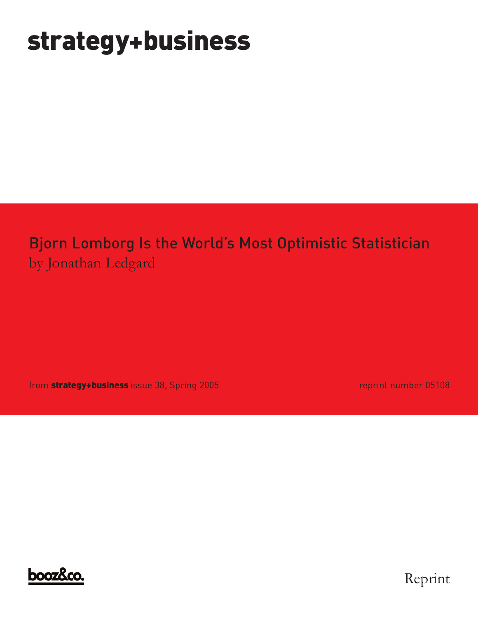# **strategy+business**

## Bjorn Lomborg Is the World's Most Optimistic Statistician by Jonathan Ledgard

from **strategy+business** issue 38, Spring 2005 **reprint number 05108** reprint number 05108



Reprint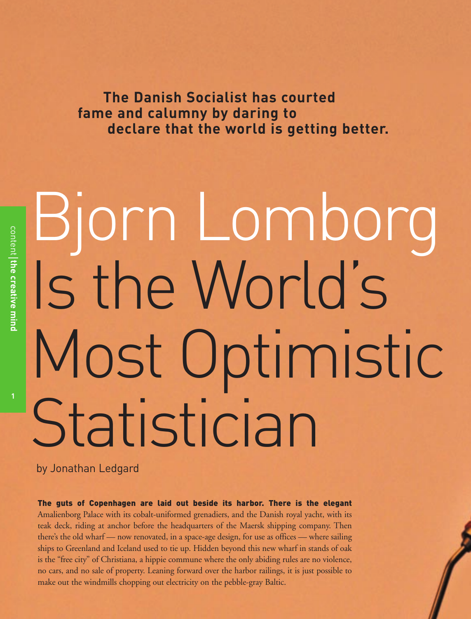**The Danish Socialist has courted fame and calumny by daring to declare that the world is getting better.**

# Bjorn Lomborg Is the World's Most Optimistic Statistician

by Jonathan Ledgard

The guts of Copenhagen are laid out beside its harbor. There is the elegant Amalienborg Palace with its cobalt-uniformed grenadiers, and the Danish royal yacht, with its teak deck, riding at anchor before the headquarters of the Maersk shipping company. Then there's the old wharf — now renovated, in a space-age design, for use as offices — where sailing ships to Greenland and Iceland used to tie up. Hidden beyond this new wharf in stands of oak is the "free city" of Christiana, a hippie commune where the only abiding rules are no violence, no cars, and no sale of property. Leaning forward over the harbor railings, it is just possible to make out the windmills chopping out electricity on the pebble-gray Baltic.

**1**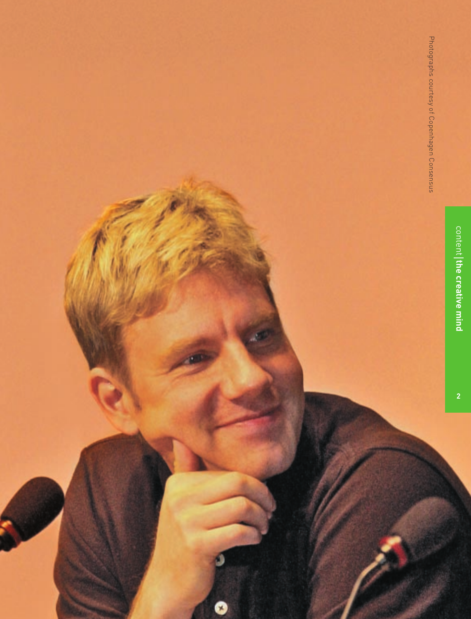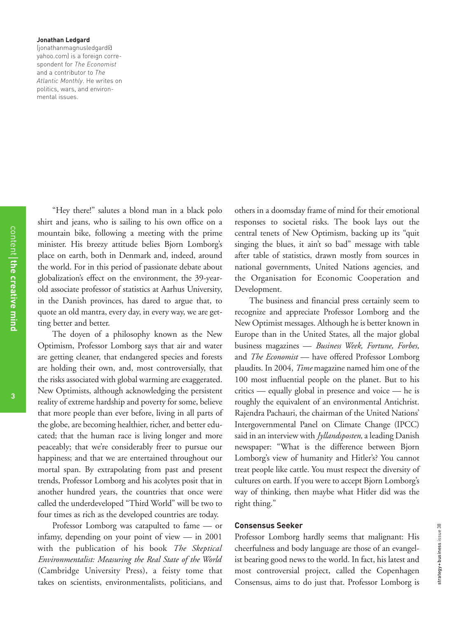#### **Jonathan Ledgard**

(jonathanmagnusledgard@ yahoo.com) is a foreign correspondent for *The Economist* and a contributor to *The Atlantic Monthly*. He writes on politics, wars, and environmental issues.

content the creative mind **the creative mind**

"Hey there!" salutes a blond man in a black polo shirt and jeans, who is sailing to his own office on a mountain bike, following a meeting with the prime minister. His breezy attitude belies Bjorn Lomborg's place on earth, both in Denmark and, indeed, around the world. For in this period of passionate debate about globalization's effect on the environment, the 39-yearold associate professor of statistics at Aarhus University, in the Danish provinces, has dared to argue that, to quote an old mantra, every day, in every way, we are getting better and better.

The doyen of a philosophy known as the New Optimism, Professor Lomborg says that air and water are getting cleaner, that endangered species and forests are holding their own, and, most controversially, that the risks associated with global warming are exaggerated. New Optimists, although acknowledging the persistent reality of extreme hardship and poverty for some, believe that more people than ever before, living in all parts of the globe, are becoming healthier, richer, and better educated; that the human race is living longer and more peaceably; that we're considerably freer to pursue our happiness; and that we are entertained throughout our mortal span. By extrapolating from past and present trends, Professor Lomborg and his acolytes posit that in another hundred years, the countries that once were called the underdeveloped "Third World" will be two to four times as rich as the developed countries are today.

Professor Lomborg was catapulted to fame — or infamy, depending on your point of view — in 2001 with the publication of his book *The Skeptical Environmentalist: Measuring the Real State of the World* (Cambridge University Press), a feisty tome that takes on scientists, environmentalists, politicians, and others in a doomsday frame of mind for their emotional responses to societal risks. The book lays out the central tenets of New Optimism, backing up its "quit singing the blues, it ain't so bad" message with table after table of statistics, drawn mostly from sources in national governments, United Nations agencies, and the Organisation for Economic Cooperation and Development.

The business and financial press certainly seem to recognize and appreciate Professor Lomborg and the New Optimist messages. Although he is better known in Europe than in the United States, all the major global business magazines — *Business Week, Fortune, Forbes,* and *The Economist* — have offered Professor Lomborg plaudits. In 2004, *Time* magazine named him one of the 100 most influential people on the planet. But to his critics — equally global in presence and voice — he is roughly the equivalent of an environmental Antichrist. Rajendra Pachauri, the chairman of the United Nations' Intergovernmental Panel on Climate Change (IPCC) said in an interview with *Jyllandsposten,* a leading Danish newspaper: "What is the difference between Bjorn Lomborg's view of humanity and Hitler's? You cannot treat people like cattle. You must respect the diversity of cultures on earth. If you were to accept Bjorn Lomborg's way of thinking, then maybe what Hitler did was the right thing."

#### **Consensus Seeker**

Professor Lomborg hardly seems that malignant: His cheerfulness and body language are those of an evangelist bearing good news to the world. In fact, his latest and most controversial project, called the Copenhagen Consensus, aims to do just that. Professor Lomborg is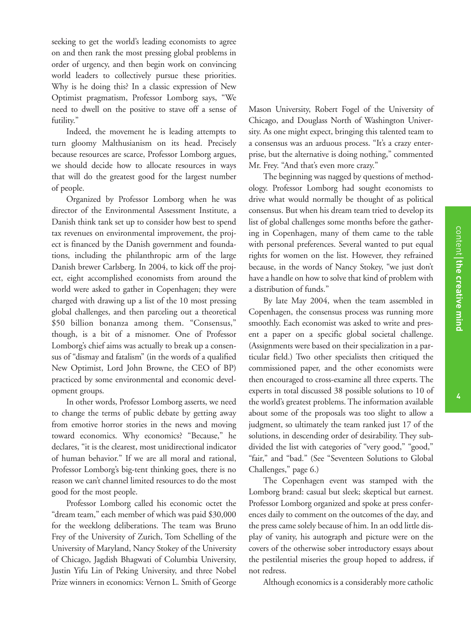seeking to get the world's leading economists to agree on and then rank the most pressing global problems in order of urgency, and then begin work on convincing world leaders to collectively pursue these priorities. Why is he doing this? In a classic expression of New Optimist pragmatism, Professor Lomborg says, "We need to dwell on the positive to stave off a sense of futility."

Indeed, the movement he is leading attempts to turn gloomy Malthusianism on its head. Precisely because resources are scarce, Professor Lomborg argues, we should decide how to allocate resources in ways that will do the greatest good for the largest number of people.

Organized by Professor Lomborg when he was director of the Environmental Assessment Institute, a Danish think tank set up to consider how best to spend tax revenues on environmental improvement, the project is financed by the Danish government and foundations, including the philanthropic arm of the large Danish brewer Carlsberg. In 2004, to kick off the project, eight accomplished economists from around the world were asked to gather in Copenhagen; they were charged with drawing up a list of the 10 most pressing global challenges, and then parceling out a theoretical \$50 billion bonanza among them. "Consensus," though, is a bit of a misnomer. One of Professor Lomborg's chief aims was actually to break up a consensus of "dismay and fatalism" (in the words of a qualified New Optimist, Lord John Browne, the CEO of BP) practiced by some environmental and economic development groups.

In other words, Professor Lomborg asserts, we need to change the terms of public debate by getting away from emotive horror stories in the news and moving toward economics. Why economics? "Because," he declares, "it is the clearest, most unidirectional indicator of human behavior." If we are all moral and rational, Professor Lomborg's big-tent thinking goes, there is no reason we can't channel limited resources to do the most good for the most people.

Professor Lomborg called his economic octet the "dream team," each member of which was paid \$30,000 for the weeklong deliberations. The team was Bruno Frey of the University of Zurich, Tom Schelling of the University of Maryland, Nancy Stokey of the University of Chicago, Jagdish Bhagwati of Columbia University, Justin Yifu Lin of Peking University, and three Nobel Prize winners in economics: Vernon L. Smith of George Mason University, Robert Fogel of the University of Chicago, and Douglass North of Washington University. As one might expect, bringing this talented team to a consensus was an arduous process. "It's a crazy enterprise, but the alternative is doing nothing," commented Mr. Frey. "And that's even more crazy."

The beginning was nagged by questions of methodology. Professor Lomborg had sought economists to drive what would normally be thought of as political consensus. But when his dream team tried to develop its list of global challenges some months before the gathering in Copenhagen, many of them came to the table with personal preferences. Several wanted to put equal rights for women on the list. However, they refrained because, in the words of Nancy Stokey, "we just don't have a handle on how to solve that kind of problem with a distribution of funds."

By late May 2004, when the team assembled in Copenhagen, the consensus process was running more smoothly. Each economist was asked to write and present a paper on a specific global societal challenge. (Assignments were based on their specialization in a particular field.) Two other specialists then critiqued the commissioned paper, and the other economists were then encouraged to cross-examine all three experts. The experts in total discussed 38 possible solutions to 10 of the world's greatest problems. The information available about some of the proposals was too slight to allow a judgment, so ultimately the team ranked just 17 of the solutions, in descending order of desirability. They subdivided the list with categories of "very good," "good," "fair," and "bad." (See "Seventeen Solutions to Global Challenges," page 6.)

The Copenhagen event was stamped with the Lomborg brand: casual but sleek; skeptical but earnest. Professor Lomborg organized and spoke at press conferences daily to comment on the outcomes of the day, and the press came solely because of him. In an odd little display of vanity, his autograph and picture were on the covers of the otherwise sober introductory essays about the pestilential miseries the group hoped to address, if not redress.

Although economics is a considerably more catholic

**the creative mind**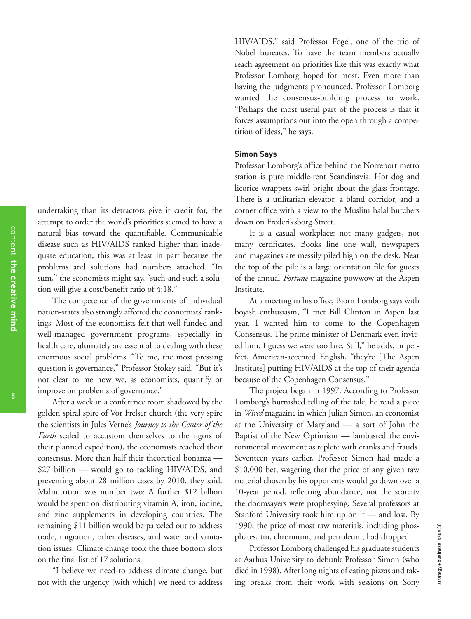undertaking than its detractors give it credit for, the attempt to order the world's priorities seemed to have a natural bias toward the quantifiable. Communicable disease such as HIV/AIDS ranked higher than inadequate education; this was at least in part because the problems and solutions had numbers attached. "In sum," the economists might say, "such-and-such a solution will give a cost/benefit ratio of 4:18."

The competence of the governments of individual nation-states also strongly affected the economists' rankings. Most of the economists felt that well-funded and well-managed government programs, especially in health care, ultimately are essential to dealing with these enormous social problems. "To me, the most pressing question is governance," Professor Stokey said. "But it's not clear to me how we, as economists, quantify or improve on problems of governance."

After a week in a conference room shadowed by the golden spiral spire of Vor Frelser church (the very spire the scientists in Jules Verne's *Journey to the Center of the Earth* scaled to accustom themselves to the rigors of their planned expedition), the economists reached their consensus. More than half their theoretical bonanza — \$27 billion — would go to tackling HIV/AIDS, and preventing about 28 million cases by 2010, they said. Malnutrition was number two: A further \$12 billion would be spent on distributing vitamin A, iron, iodine, and zinc supplements in developing countries. The remaining \$11 billion would be parceled out to address trade, migration, other diseases, and water and sanitation issues. Climate change took the three bottom slots on the final list of 17 solutions.

"I believe we need to address climate change, but not with the urgency [with which] we need to address HIV/AIDS," said Professor Fogel, one of the trio of Nobel laureates. To have the team members actually reach agreement on priorities like this was exactly what Professor Lomborg hoped for most. Even more than having the judgments pronounced, Professor Lomborg wanted the consensus-building process to work. "Perhaps the most useful part of the process is that it forces assumptions out into the open through a competition of ideas," he says.

#### **Simon Says**

Professor Lomborg's office behind the Norreport metro station is pure middle-rent Scandinavia. Hot dog and licorice wrappers swirl bright about the glass frontage. There is a utilitarian elevator, a bland corridor, and a corner office with a view to the Muslim halal butchers down on Frederiksborg Street.

It is a casual workplace: not many gadgets, not many certificates. Books line one wall, newspapers and magazines are messily piled high on the desk. Near the top of the pile is a large orientation file for guests of the annual *Fortune* magazine powwow at the Aspen Institute.

At a meeting in his office, Bjorn Lomborg says with boyish enthusiasm, "I met Bill Clinton in Aspen last year. I wanted him to come to the Copenhagen Consensus. The prime minister of Denmark even invited him. I guess we were too late. Still," he adds, in perfect, American-accented English, "they're [The Aspen Institute] putting HIV/AIDS at the top of their agenda because of the Copenhagen Consensus."

The project began in 1997. According to Professor Lomborg's burnished telling of the tale, he read a piece in *Wired* magazine in which Julian Simon, an economist at the University of Maryland — a sort of John the Baptist of the New Optimism — lambasted the environmental movement as replete with cranks and frauds. Seventeen years earlier, Professor Simon had made a \$10,000 bet, wagering that the price of any given raw material chosen by his opponents would go down over a 10-year period, reflecting abundance, not the scarcity the doomsayers were prophesying. Several professors at Stanford University took him up on it — and lost. By 1990, the price of most raw materials, including phosphates, tin, chromium, and petroleum, had dropped.

Professor Lomborg challenged his graduate students at Aarhus University to debunk Professor Simon (who died in 1998). After long nights of eating pizzas and taking breaks from their work with sessions on Sony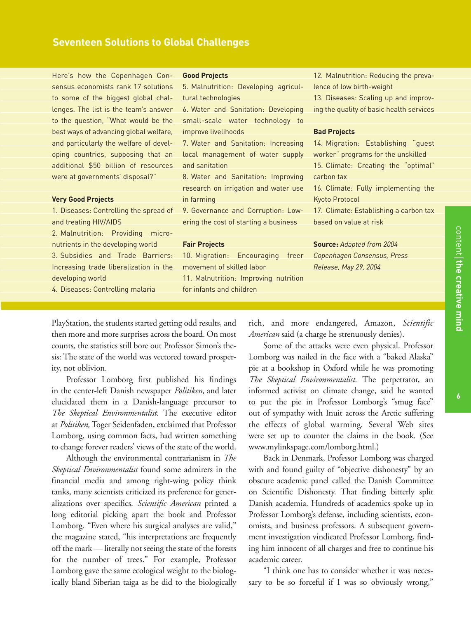Here's how the Copenhagen Consensus economists rank 17 solutions to some of the biggest global challenges. The list is the team's answer to the question, "What would be the best ways of advancing global welfare, and particularly the welfare of developing countries, supposing that an additional \$50 billion of resources were at governments' disposal?"

#### **Very Good Projects**

1. Diseases: Controlling the spread of and treating HIV/AIDS

2. Malnutrition: Providing micronutrients in the developing world 3. Subsidies and Trade Barriers: Increasing trade liberalization in the developing world

4. Diseases: Controlling malaria

#### **Good Projects**

5. Malnutrition: Developing agricultural technologies

6. Water and Sanitation: Developing small-scale water technology to improve livelihoods

7. Water and Sanitation: Increasing local management of water supply and sanitation

8. Water and Sanitation: Improving research on irrigation and water use in farming

9. Governance and Corruption: Lowering the cost of starting a business

#### **Fair Projects**

10. Migration: Encouraging freer movement of skilled labor 11. Malnutrition: Improving nutrition for infants and children

12. Malnutrition: Reducing the prevalence of low birth-weight

13. Diseases: Scaling up and improving the quality of basic health services

#### **Bad Projects**

14. Migration: Establishing "guest worker" programs for the unskilled 15. Climate: Creating the "optimal" carbon tax

16. Climate: Fully implementing the Kyoto Protocol

17. Climate: Establishing a carbon tax based on value at risk

**Source:** *Adapted from 2004 Copenhagen Consensus, Press Release, May 29, 2004*

PlayStation, the students started getting odd results, and then more and more surprises across the board. On most counts, the statistics still bore out Professor Simon's thesis: The state of the world was vectored toward prosperity, not oblivion.

Professor Lomborg first published his findings in the center-left Danish newspaper *Politiken,* and later elucidated them in a Danish-language precursor to *The Skeptical Environmentalist.* The executive editor at *Politiken,* Toger Seidenfaden, exclaimed that Professor Lomborg, using common facts, had written something to change forever readers' views of the state of the world.

Although the environmental contrarianism in *The Skeptical Environmentalist* found some admirers in the financial media and among right-wing policy think tanks, many scientists criticized its preference for generalizations over specifics. *Scientific American* printed a long editorial picking apart the book and Professor Lomborg. "Even where his surgical analyses are valid," the magazine stated, "his interpretations are frequently off the mark — literally not seeing the state of the forests for the number of trees." For example, Professor Lomborg gave the same ecological weight to the biologically bland Siberian taiga as he did to the biologically rich, and more endangered, Amazon, *Scientific American* said (a charge he strenuously denies).

Some of the attacks were even physical. Professor Lomborg was nailed in the face with a "baked Alaska" pie at a bookshop in Oxford while he was promoting *The Skeptical Environmentalist.* The perpetrator, an informed activist on climate change, said he wanted to put the pie in Professor Lomborg's "smug face" out of sympathy with Inuit across the Arctic suffering the effects of global warming. Several Web sites were set up to counter the claims in the book. (See www.mylinkspage.com/lomborg.html.)

Back in Denmark, Professor Lomborg was charged with and found guilty of "objective dishonesty" by an obscure academic panel called the Danish Committee on Scientific Dishonesty. That finding bitterly split Danish academia. Hundreds of academics spoke up in Professor Lomborg's defense, including scientists, economists, and business professors. A subsequent government investigation vindicated Professor Lomborg, finding him innocent of all charges and free to continue his academic career.

"I think one has to consider whether it was necessary to be so forceful if I was so obviously wrong,"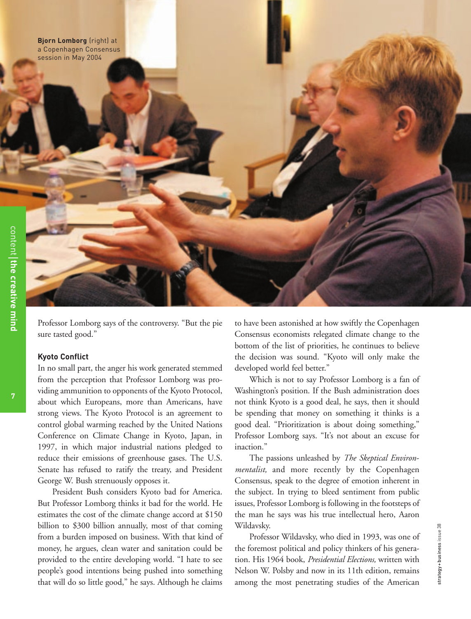**Bjorn Lomborg** (right) at a Copenhagen Consensus session in May 2004

**7**

Professor Lomborg says of the controversy. "But the pie sure tasted good."

#### **Kyoto Conflict**

In no small part, the anger his work generated stemmed from the perception that Professor Lomborg was providing ammunition to opponents of the Kyoto Protocol, about which Europeans, more than Americans, have strong views. The Kyoto Protocol is an agreement to control global warming reached by the United Nations Conference on Climate Change in Kyoto, Japan, in 1997, in which major industrial nations pledged to reduce their emissions of greenhouse gases. The U.S. Senate has refused to ratify the treaty, and President George W. Bush strenuously opposes it.

President Bush considers Kyoto bad for America. But Professor Lomborg thinks it bad for the world. He estimates the cost of the climate change accord at \$150 billion to \$300 billion annually, most of that coming from a burden imposed on business. With that kind of money, he argues, clean water and sanitation could be provided to the entire developing world. "I hate to see people's good intentions being pushed into something that will do so little good," he says. Although he claims

to have been astonished at how swiftly the Copenhagen Consensus economists relegated climate change to the bottom of the list of priorities, he continues to believe the decision was sound. "Kyoto will only make the developed world feel better."

Which is not to say Professor Lomborg is a fan of Washington's position. If the Bush administration does not think Kyoto is a good deal, he says, then it should be spending that money on something it thinks is a good deal. "Prioritization is about doing something," Professor Lomborg says. "It's not about an excuse for inaction."

The passions unleashed by *The Skeptical Environmentalist,* and more recently by the Copenhagen Consensus, speak to the degree of emotion inherent in the subject. In trying to bleed sentiment from public issues, Professor Lomborg is following in the footsteps of the man he says was his true intellectual hero, Aaron Wildavsky.

Professor Wildavsky, who died in 1993, was one of the foremost political and policy thinkers of his generation. His 1964 book, *Presidential Elections,* written with Nelson W. Polsby and now in its 11th edition, remains among the most penetrating studies of the American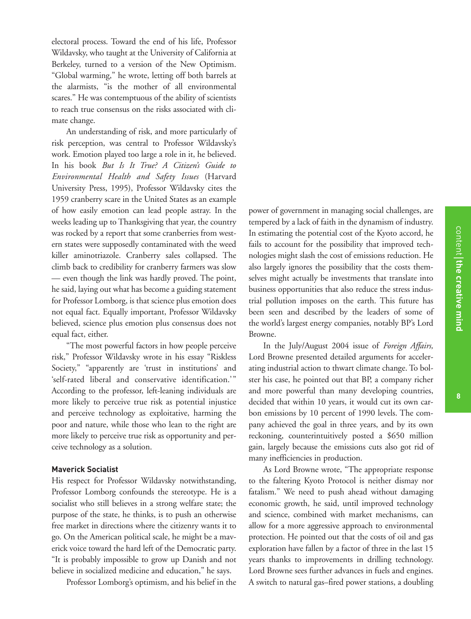electoral process. Toward the end of his life, Professor Wildavsky, who taught at the University of California at Berkeley, turned to a version of the New Optimism. "Global warming," he wrote, letting off both barrels at the alarmists, "is the mother of all environmental scares." He was contemptuous of the ability of scientists to reach true consensus on the risks associated with climate change.

An understanding of risk, and more particularly of risk perception, was central to Professor Wildavsky's work. Emotion played too large a role in it, he believed. In his book *But Is It True? A Citizen's Guide to Environmental Health and Safety Issues* (Harvard University Press, 1995), Professor Wildavsky cites the 1959 cranberry scare in the United States as an example of how easily emotion can lead people astray. In the weeks leading up to Thanksgiving that year, the country was rocked by a report that some cranberries from western states were supposedly contaminated with the weed killer aminotriazole. Cranberry sales collapsed. The climb back to credibility for cranberry farmers was slow — even though the link was hardly proved. The point, he said, laying out what has become a guiding statement for Professor Lomborg, is that science plus emotion does not equal fact. Equally important, Professor Wildavsky believed, science plus emotion plus consensus does not equal fact, either.

"The most powerful factors in how people perceive risk," Professor Wildavsky wrote in his essay "Riskless Society," "apparently are 'trust in institutions' and 'self-rated liberal and conservative identification.'" According to the professor, left-leaning individuals are more likely to perceive true risk as potential injustice and perceive technology as exploitative, harming the poor and nature, while those who lean to the right are more likely to perceive true risk as opportunity and perceive technology as a solution.

#### **Maverick Socialist**

His respect for Professor Wildavsky notwithstanding, Professor Lomborg confounds the stereotype. He is a socialist who still believes in a strong welfare state; the purpose of the state, he thinks, is to push an otherwise free market in directions where the citizenry wants it to go. On the American political scale, he might be a maverick voice toward the hard left of the Democratic party. "It is probably impossible to grow up Danish and not believe in socialized medicine and education," he says.

Professor Lomborg's optimism, and his belief in the

power of government in managing social challenges, are tempered by a lack of faith in the dynamism of industry. In estimating the potential cost of the Kyoto accord, he fails to account for the possibility that improved technologies might slash the cost of emissions reduction. He also largely ignores the possibility that the costs themselves might actually be investments that translate into business opportunities that also reduce the stress industrial pollution imposes on the earth. This future has been seen and described by the leaders of some of the world's largest energy companies, notably BP's Lord Browne.

In the July/August 2004 issue of *Foreign Affairs,* Lord Browne presented detailed arguments for accelerating industrial action to thwart climate change. To bolster his case, he pointed out that BP, a company richer and more powerful than many developing countries, decided that within 10 years, it would cut its own carbon emissions by 10 percent of 1990 levels. The company achieved the goal in three years, and by its own reckoning, counterintuitively posted a \$650 million gain, largely because the emissions cuts also got rid of many inefficiencies in production.

As Lord Browne wrote, "The appropriate response to the faltering Kyoto Protocol is neither dismay nor fatalism." We need to push ahead without damaging economic growth, he said, until improved technology and science, combined with market mechanisms, can allow for a more aggressive approach to environmental protection. He pointed out that the costs of oil and gas exploration have fallen by a factor of three in the last 15 years thanks to improvements in drilling technology. Lord Browne sees further advances in fuels and engines. A switch to natural gas–fired power stations, a doubling

**the creative mind**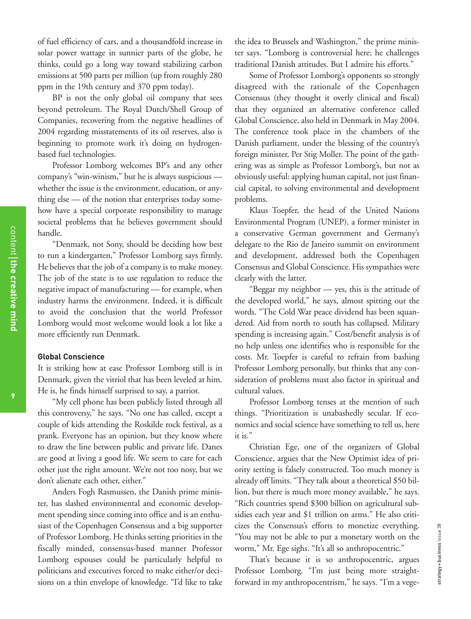of fuel efficiency of cars, and a thousandfold increase in solar power wattage in sunnier parts of the globe, he thinks, could go a long way toward stabilizing carbon emissions at 500 parts per million (up from roughly 280 ppm in the 19th century and 370 ppm today).

BP is not the only global oil company that sees beyond petroleum. The Royal Dutch/Shell Group of Companies, recovering from the negative headlines of 2004 regarding misstatements of its oil reserves, also is beginning to promote work it's doing on hydrogenbased fuel technologies.

Professor Lomborg welcomes BP's and any other company's "win-winism," but he is always suspicious whether the issue is the environment, education, or anything else — of the notion that enterprises today somehow have a special corporate responsibility to manage societal problems that he believes government should handle.

"Denmark, not Sony, should be deciding how best to run a kindergarten," Professor Lomborg says firmly. He believes that the job of a company is to make money. The job of the state is to use regulation to reduce the negative impact of manufacturing — for example, when industry harms the environment. Indeed, it is difficult to avoid the conclusion that the world Professor Lomborg would most welcome would look a lot like a more efficiently run Denmark.

#### **Global Conscience**

It is striking how at ease Professor Lomborg still is in Denmark, given the vitriol that has been leveled at him. He is, he finds himself surprised to say, a patriot.

"My cell phone has been publicly listed through all this controversy," he says. "No one has called, except a couple of kids attending the Roskilde rock festival, as a prank. Everyone has an opinion, but they know where to draw the line between public and private life. Danes are good at living a good life. We seem to care for each other just the right amount. We're not too nosy, but we don't alienate each other, either."

Anders Fogh Rasmussen, the Danish prime minister, has slashed environmental and economic development spending since coming into office and is an enthusiast of the Copenhagen Consensus and a big supporter of Professor Lomborg. He thinks setting priorities in the fiscally minded, consensus-based manner Professor Lomborg espouses could be particularly helpful to politicians and executives forced to make either/or decisions on a thin envelope of knowledge. "I'd like to take the idea to Brussels and Washington," the prime minister says. "Lomborg is controversial here; he challenges traditional Danish attitudes. But I admire his efforts."

Some of Professor Lomborg's opponents so strongly disagreed with the rationale of the Copenhagen Consensus (they thought it overly clinical and fiscal) that they organized an alternative conference called Global Conscience, also held in Denmark in May 2004. The conference took place in the chambers of the Danish parliament, under the blessing of the country's foreign minister, Per Stig Moller. The point of the gathering was as simple as Professor Lomborg's, but not as obviously useful: applying human capital, not just financial capital, to solving environmental and development problems.

Klaus Toepfer, the head of the United Nations Environmental Program (UNEP), a former minister in a conservative German government and Germany's delegate to the Rio de Janeiro summit on environment and development, addressed both the Copenhagen Consensus and Global Conscience. His sympathies were clearly with the latter.

"Beggar my neighbor — yes, this is the attitude of the developed world," he says, almost spitting out the words. "The Cold War peace dividend has been squandered. Aid from north to south has collapsed. Military spending is increasing again." Cost/benefit analysis is of no help unless one identifies who is responsible for the costs. Mr. Toepfer is careful to refrain from bashing Professor Lomborg personally, but thinks that any consideration of problems must also factor in spiritual and cultural values.

Professor Lomborg tenses at the mention of such things. "Prioritization is unabashedly secular. If economics and social science have something to tell us, here it is."

Christian Ege, one of the organizers of Global Conscience, argues that the New Optimist idea of priority setting is falsely constructed. Too much money is already off limits. "They talk about a theoretical \$50 billion, but there is much more money available," he says. "Rich countries spend \$300 billion on agricultural subsidies each year and \$1 trillion on arms." He also criticizes the Consensus's efforts to monetize everything. "You may not be able to put a monetary worth on the worm," Mr. Ege sighs. "It's all so anthropocentric."

That's because it is so anthropocentric, argues Professor Lomborg. "I'm just being more straightforward in my anthropocentrism," he says. "I'm a vege-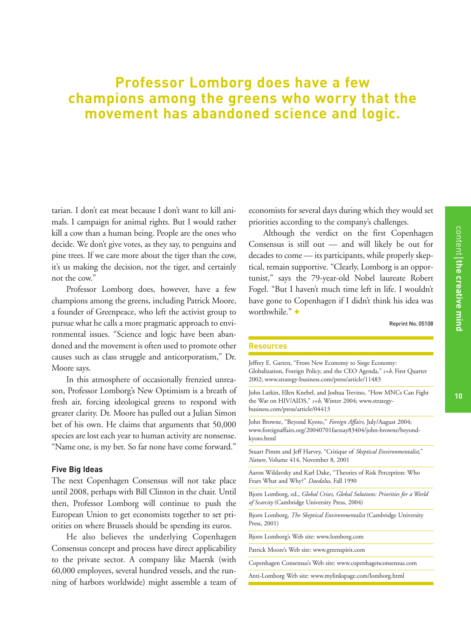### **Professor Lomborg does have a few champions among the greens who worry that the movement has abandoned science and logic.**

tarian. I don't eat meat because I don't want to kill animals. I campaign for animal rights. But I would rather kill a cow than a human being. People are the ones who decide. We don't give votes, as they say, to penguins and pine trees. If we care more about the tiger than the cow, it's us making the decision, not the tiger, and certainly not the cow."

Professor Lomborg does, however, have a few champions among the greens, including Patrick Moore, a founder of Greenpeace, who left the activist group to pursue what he calls a more pragmatic approach to environmental issues. "Science and logic have been abandoned and the movement is often used to promote other causes such as class struggle and anticorporatism," Dr. Moore says.

In this atmosphere of occasionally frenzied unreason, Professor Lomborg's New Optimism is a breath of fresh air, forcing ideological greens to respond with greater clarity. Dr. Moore has pulled out a Julian Simon bet of his own. He claims that arguments that 50,000 species are lost each year to human activity are nonsense. "Name one, is my bet. So far none have come forward."

#### **Five Big Ideas**

The next Copenhagen Consensus will not take place until 2008, perhaps with Bill Clinton in the chair. Until then, Professor Lomborg will continue to push the European Union to get economists together to set priorities on where Brussels should be spending its euros.

He also believes the underlying Copenhagen Consensus concept and process have direct applicability to the private sector. A company like Maersk (with 60,000 employees, several hundred vessels, and the running of harbors worldwide) might assemble a team of economists for several days during which they would set priorities according to the company's challenges.

Although the verdict on the first Copenhagen Consensus is still out — and will likely be out for decades to come — its participants, while properly skeptical, remain supportive. "Clearly, Lomborg is an opportunist," says the 79-year-old Nobel laureate Robert Fogel. "But I haven't much time left in life. I wouldn't have gone to Copenhagen if I didn't think his idea was worthwhile." +

Reprint No. 05108

#### **Resources**

Jeffrey E. Garten, "From New Economy to Siege Economy: Globalization, Foreign Policy, and the CEO Agenda," *s+b,* First Quarter 2002; www.strategy-business.com/press/article/11483

John Larkin, Ellen Knebel, and Joshua Trevino, "How MNCs Can Fight the War on HIV/AIDS," *s+b,* Winter 2004; www.strategybusiness.com/press/article/04413

John Browne, "Beyond Kyoto," *Foreign Affairs,* July/August 2004; www.foreignaffairs.org/20040701faessay83404/john-browne/beyondkyoto.html

Stuart Pimm and Jeff Harvey, "Critique of *Skeptical Environmentalist*," *Nature,* Volume 414, November 8, 2001

Aaron Wildavsky and Karl Dake, "Theories of Risk Perception: Who Fears What and Why?" *Daedalus,* Fall 1990

Bjorn Lomborg, ed., *Global Crises, Global Solutions: Priorities for a World of Scarcity* (Cambridge University Press, 2004)

Bjorn Lomborg, *The Skeptical Environmentalist* (Cambridge University Press, 2001)

Bjorn Lomborg's Web site: www.lomborg.com

Patrick Moore's Web site: www.greenspirit.com

Copenhagen Consensus's Web site: www.copenhagenconsensus.com

Anti-Lomborg Web site: www.mylinkspage.com/lomborg.html

content the creative mind

**the creative mind**